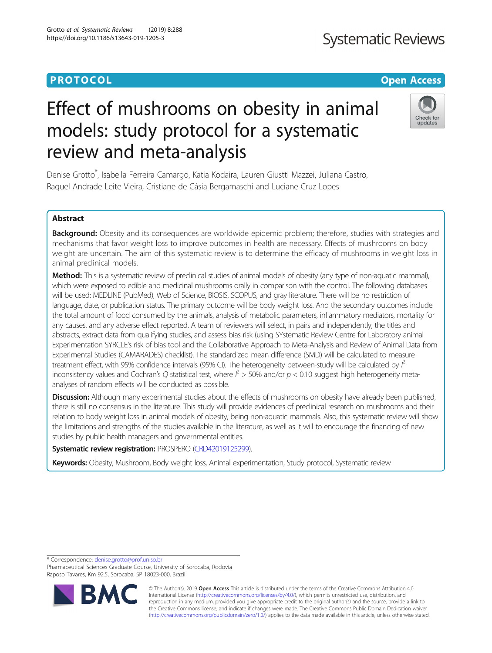# **Systematic Reviews**

# **PROTOCOL CONSUMING THE CONSUMING TEACHER CONSUMING THE CONSUMING TEACHER CONSUMING THE CONSUMING TEACHER CONSUMING THE CONSUMING TEACHER CONSUMING THE CONSUMING TEACHER CONSUMING THE CONSUMING TEACHER CONSUMING THE CONS**

# Check for undates

# Effect of mushrooms on obesity in animal models: study protocol for a systematic review and meta-analysis

Denise Grotto\* , Isabella Ferreira Camargo, Katia Kodaira, Lauren Giustti Mazzei, Juliana Castro, Raquel Andrade Leite Vieira, Cristiane de Cásia Bergamaschi and Luciane Cruz Lopes

# Abstract

Background: Obesity and its consequences are worldwide epidemic problem; therefore, studies with strategies and mechanisms that favor weight loss to improve outcomes in health are necessary. Effects of mushrooms on body weight are uncertain. The aim of this systematic review is to determine the efficacy of mushrooms in weight loss in animal preclinical models.

Method: This is a systematic review of preclinical studies of animal models of obesity (any type of non-aquatic mammal), which were exposed to edible and medicinal mushrooms orally in comparison with the control. The following databases will be used: MEDLINE (PubMed), Web of Science, BIOSIS, SCOPUS, and gray literature. There will be no restriction of language, date, or publication status. The primary outcome will be body weight loss. And the secondary outcomes include the total amount of food consumed by the animals, analysis of metabolic parameters, inflammatory mediators, mortality for any causes, and any adverse effect reported. A team of reviewers will select, in pairs and independently, the titles and abstracts, extract data from qualifying studies, and assess bias risk (using SYstematic Review Centre for Laboratory animal Experimentation SYRCLE's risk of bias tool and the Collaborative Approach to Meta-Analysis and Review of Animal Data from Experimental Studies (CAMARADES) checklist). The standardized mean difference (SMD) will be calculated to measure treatment effect, with 95% confidence intervals (95% CI). The heterogeneity between-study will be calculated by  $l^2$ inconsistency values and Cochran's Q statistical test, where  $l^2 > 50\%$  and/or  $p < 0.10$  suggest high heterogeneity metaanalyses of random effects will be conducted as possible.

Discussion: Although many experimental studies about the effects of mushrooms on obesity have already been published, there is still no consensus in the literature. This study will provide evidences of preclinical research on mushrooms and their relation to body weight loss in animal models of obesity, being non-aquatic mammals. Also, this systematic review will show the limitations and strengths of the studies available in the literature, as well as it will to encourage the financing of new studies by public health managers and governmental entities.

Systematic review registration: PROSPERO ([CRD42019125299](https://www.crd.york.ac.uk/prospero/display_record.php?RecordID=125299)).

Keywords: Obesity, Mushroom, Body weight loss, Animal experimentation, Study protocol, Systematic review

\* Correspondence: [denise.grotto@prof.uniso.br](mailto:denise.grotto@prof.uniso.br)

Pharmaceutical Sciences Graduate Course, University of Sorocaba, Rodovia Raposo Tavares, Km 92.5, Sorocaba, SP 18023-000, Brazil



© The Author(s). 2019 **Open Access** This article is distributed under the terms of the Creative Commons Attribution 4.0 International License [\(http://creativecommons.org/licenses/by/4.0/](http://creativecommons.org/licenses/by/4.0/)), which permits unrestricted use, distribution, and reproduction in any medium, provided you give appropriate credit to the original author(s) and the source, provide a link to the Creative Commons license, and indicate if changes were made. The Creative Commons Public Domain Dedication waiver [\(http://creativecommons.org/publicdomain/zero/1.0/](http://creativecommons.org/publicdomain/zero/1.0/)) applies to the data made available in this article, unless otherwise stated.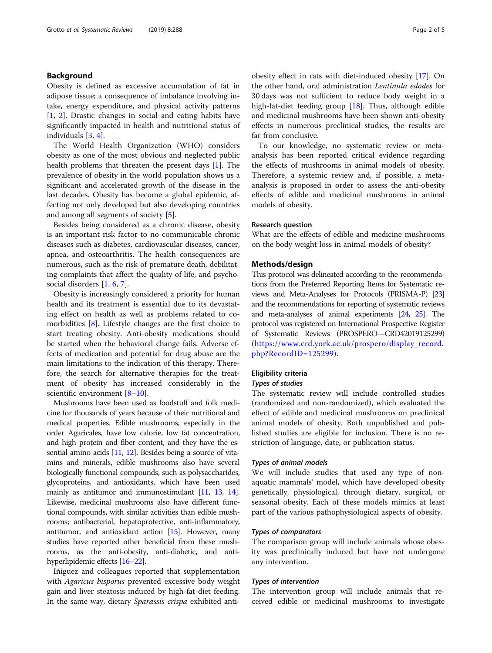# Background

Obesity is defined as excessive accumulation of fat in adipose tissue; a consequence of imbalance involving intake, energy expenditure, and physical activity patterns [[1,](#page-4-0) [2](#page-4-0)]. Drastic changes in social and eating habits have significantly impacted in health and nutritional status of individuals [[3,](#page-4-0) [4\]](#page-4-0).

The World Health Organization (WHO) considers obesity as one of the most obvious and neglected public health problems that threaten the present days [\[1](#page-4-0)]. The prevalence of obesity in the world population shows us a significant and accelerated growth of the disease in the last decades. Obesity has become a global epidemic, affecting not only developed but also developing countries and among all segments of society [\[5](#page-4-0)].

Besides being considered as a chronic disease, obesity is an important risk factor to no communicable chronic diseases such as diabetes, cardiovascular diseases, cancer, apnea, and osteoarthritis. The health consequences are numerous, such as the risk of premature death, debilitating complaints that affect the quality of life, and psychosocial disorders [[1,](#page-4-0) [6,](#page-4-0) [7\]](#page-4-0).

Obesity is increasingly considered a priority for human health and its treatment is essential due to its devastating effect on health as well as problems related to comorbidities [\[8](#page-4-0)]. Lifestyle changes are the first choice to start treating obesity. Anti-obesity medications should be started when the behavioral change fails. Adverse effects of medication and potential for drug abuse are the main limitations to the indication of this therapy. Therefore, the search for alternative therapies for the treatment of obesity has increased considerably in the scientific environment [\[8](#page-4-0)–[10\]](#page-4-0).

Mushrooms have been used as foodstuff and folk medicine for thousands of years because of their nutritional and medical properties. Edible mushrooms, especially in the order Agaricales, have low calorie, low fat concentration, and high protein and fiber content, and they have the es-sential amino acids [\[11,](#page-4-0) [12](#page-4-0)]. Besides being a source of vitamins and minerals, edible mushrooms also have several biologically functional compounds, such as polysaccharides, glycoproteins, and antioxidants, which have been used mainly as antitumor and immunostimulant [\[11,](#page-4-0) [13](#page-4-0), [14](#page-4-0)]. Likewise, medicinal mushrooms also have different functional compounds, with similar activities than edible mushrooms; antibacterial, hepatoprotective, anti-inflammatory, antitumor, and antioxidant action  $[15]$  $[15]$ . However, many studies have reported other beneficial from these mushrooms, as the anti-obesity, anti-diabetic, and antihyperlipidemic effects [[16](#page-4-0)–[22](#page-4-0)].

Iñiguez and colleagues reported that supplementation with Agaricus bisporus prevented excessive body weight gain and liver steatosis induced by high-fat-diet feeding. In the same way, dietary Sparassis crispa exhibited antiobesity effect in rats with diet-induced obesity [\[17](#page-4-0)]. On the other hand, oral administration Lentinula edodes for 30 days was not sufficient to reduce body weight in a high-fat-diet feeding group [\[18](#page-4-0)]. Thus, although edible and medicinal mushrooms have been shown anti-obesity effects in numerous preclinical studies, the results are far from conclusive.

To our knowledge, no systematic review or metaanalysis has been reported critical evidence regarding the effects of mushrooms in animal models of obesity. Therefore, a systemic review and, if possible, a metaanalysis is proposed in order to assess the anti-obesity effects of edible and medicinal mushrooms in animal models of obesity.

# Research question

What are the effects of edible and medicine mushrooms on the body weight loss in animal models of obesity?

# Methods/design

This protocol was delineated according to the recommendations from the Preferred Reporting Items for Systematic reviews and Meta-Analyses for Protocols (PRISMA-P) [\[23](#page-4-0)] and the recommendations for reporting of systematic reviews and meta-analyses of animal experiments [[24,](#page-4-0) [25\]](#page-4-0). The protocol was registered on International Prospective Register of Systematic Reviews (PROSPERO—CRD42019125299) ([https://www.crd.york.ac.uk/prospero/display\\_record.](https://www.crd.york.ac.uk/prospero/display_record.php?RecordID=125299) [php?RecordID=125299](https://www.crd.york.ac.uk/prospero/display_record.php?RecordID=125299)).

# Eligibility criteria

# Types of studies

The systematic review will include controlled studies (randomized and non-randomized), which evaluated the effect of edible and medicinal mushrooms on preclinical animal models of obesity. Both unpublished and published studies are eligible for inclusion. There is no restriction of language, date, or publication status.

#### Types of animal models

We will include studies that used any type of nonaquatic mammals' model, which have developed obesity genetically, physiological, through dietary, surgical, or seasonal obesity. Each of these models mimics at least part of the various pathophysiological aspects of obesity.

# Types of comparators

The comparison group will include animals whose obesity was preclinically induced but have not undergone any intervention.

# Types of intervention

The intervention group will include animals that received edible or medicinal mushrooms to investigate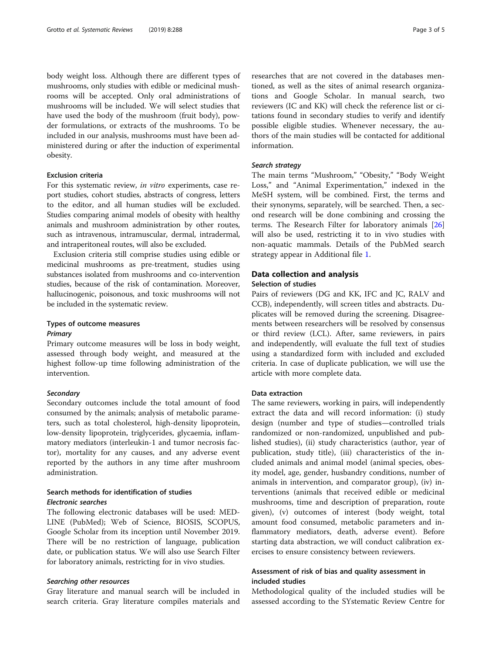body weight loss. Although there are different types of mushrooms, only studies with edible or medicinal mushrooms will be accepted. Only oral administrations of mushrooms will be included. We will select studies that have used the body of the mushroom (fruit body), powder formulations, or extracts of the mushrooms. To be included in our analysis, mushrooms must have been administered during or after the induction of experimental obesity.

# Exclusion criteria

For this systematic review, in vitro experiments, case report studies, cohort studies, abstracts of congress, letters to the editor, and all human studies will be excluded. Studies comparing animal models of obesity with healthy animals and mushroom administration by other routes, such as intravenous, intramuscular, dermal, intradermal, and intraperitoneal routes, will also be excluded.

Exclusion criteria still comprise studies using edible or medicinal mushrooms as pre-treatment, studies using substances isolated from mushrooms and co-intervention studies, because of the risk of contamination. Moreover, hallucinogenic, poisonous, and toxic mushrooms will not be included in the systematic review.

# Types of outcome measures Primary

Primary outcome measures will be loss in body weight, assessed through body weight, and measured at the highest follow-up time following administration of the intervention.

### **Secondary**

Secondary outcomes include the total amount of food consumed by the animals; analysis of metabolic parameters, such as total cholesterol, high-density lipoprotein, low-density lipoprotein, triglycerides, glycaemia, inflammatory mediators (interleukin-1 and tumor necrosis factor), mortality for any causes, and any adverse event reported by the authors in any time after mushroom administration.

# Search methods for identification of studies Electronic searches

The following electronic databases will be used: MED-LINE (PubMed); Web of Science, BIOSIS, SCOPUS, Google Scholar from its inception until November 2019. There will be no restriction of language, publication date, or publication status. We will also use Search Filter for laboratory animals, restricting for in vivo studies.

# Searching other resources

Gray literature and manual search will be included in search criteria. Gray literature compiles materials and researches that are not covered in the databases mentioned, as well as the sites of animal research organizations and Google Scholar. In manual search, two reviewers (IC and KK) will check the reference list or citations found in secondary studies to verify and identify possible eligible studies. Whenever necessary, the authors of the main studies will be contacted for additional information.

# Search strategy

The main terms "Mushroom," "Obesity," "Body Weight Loss," and "Animal Experimentation," indexed in the MeSH system, will be combined. First, the terms and their synonyms, separately, will be searched. Then, a second research will be done combining and crossing the terms. The Research Filter for laboratory animals [[26](#page-4-0)] will also be used, restricting it to in vivo studies with non-aquatic mammals. Details of the PubMed search strategy appear in Additional file [1.](#page-3-0)

# Data collection and analysis

# Selection of studies

Pairs of reviewers (DG and KK, IFC and JC, RALV and CCB), independently, will screen titles and abstracts. Duplicates will be removed during the screening. Disagreements between researchers will be resolved by consensus or third review (LCL). After, same reviewers, in pairs and independently, will evaluate the full text of studies using a standardized form with included and excluded criteria. In case of duplicate publication, we will use the article with more complete data.

# Data extraction

The same reviewers, working in pairs, will independently extract the data and will record information: (i) study design (number and type of studies—controlled trials randomized or non-randomized, unpublished and published studies), (ii) study characteristics (author, year of publication, study title), (iii) characteristics of the included animals and animal model (animal species, obesity model, age, gender, husbandry conditions, number of animals in intervention, and comparator group), (iv) interventions (animals that received edible or medicinal mushrooms, time and description of preparation, route given), (v) outcomes of interest (body weight, total amount food consumed, metabolic parameters and inflammatory mediators, death, adverse event). Before starting data abstraction, we will conduct calibration exercises to ensure consistency between reviewers.

# Assessment of risk of bias and quality assessment in included studies

Methodological quality of the included studies will be assessed according to the SYstematic Review Centre for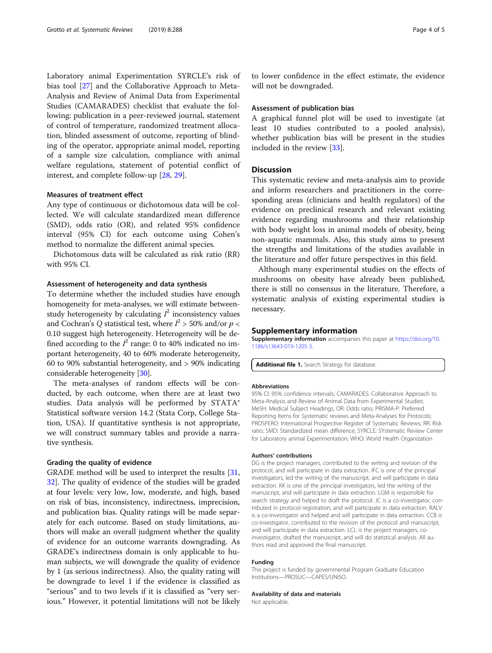<span id="page-3-0"></span>Laboratory animal Experimentation SYRCLE's risk of bias tool [\[27](#page-4-0)] and the Collaborative Approach to Meta-Analysis and Review of Animal Data from Experimental Studies (CAMARADES) checklist that evaluate the following: publication in a peer-reviewed journal, statement of control of temperature, randomized treatment allocation, blinded assessment of outcome, reporting of blinding of the operator, appropriate animal model, reporting of a sample size calculation, compliance with animal welfare regulations, statement of potential conflict of interest, and complete follow-up [[28,](#page-4-0) [29\]](#page-4-0).

#### Measures of treatment effect

Any type of continuous or dichotomous data will be collected. We will calculate standardized mean difference (SMD), odds ratio (OR), and related 95% confidence interval (95% CI) for each outcome using Cohen's method to normalize the different animal species.

Dichotomous data will be calculated as risk ratio (RR) with 95% CI.

## Assessment of heterogeneity and data synthesis

To determine whether the included studies have enough homogeneity for meta-analyses, we will estimate betweenstudy heterogeneity by calculating  $I^2$  inconsistency values and Cochran's Q statistical test, where  $I^2 > 50\%$  and/or  $p <$ 0.10 suggest high heterogeneity. Heterogeneity will be defined according to the  $l^2$  range: 0 to 40% indicated no important heterogeneity, 40 to 60% moderate heterogeneity, 60 to 90% substantial heterogeneity, and > 90% indicating considerable heterogeneity [\[30\]](#page-4-0).

The meta-analyses of random effects will be conducted, by each outcome, when there are at least two studies. Data analysis will be performed by STATA® Statistical software version 14.2 (Stata Corp, College Station, USA). If quantitative synthesis is not appropriate, we will construct summary tables and provide a narrative synthesis.

# Grading the quality of evidence

GRADE method will be used to interpret the results [[31](#page-4-0), [32\]](#page-4-0). The quality of evidence of the studies will be graded at four levels: very low, low, moderate, and high, based on risk of bias, inconsistency, indirectness, imprecision, and publication bias. Quality ratings will be made separately for each outcome. Based on study limitations, authors will make an overall judgment whether the quality of evidence for an outcome warrants downgrading. As GRADE's indirectness domain is only applicable to human subjects, we will downgrade the quality of evidence by 1 (as serious indirectness). Also, the quality rating will be downgrade to level 1 if the evidence is classified as "serious" and to two levels if it is classified as "very serious." However, it potential limitations will not be likely

to lower confidence in the effect estimate, the evidence will not be downgraded.

# Assessment of publication bias

A graphical funnel plot will be used to investigate (at least 10 studies contributed to a pooled analysis), whether publication bias will be present in the studies included in the review [[33\]](#page-4-0).

# **Discussion**

This systematic review and meta-analysis aim to provide and inform researchers and practitioners in the corresponding areas (clinicians and health regulators) of the evidence on preclinical research and relevant existing evidence regarding mushrooms and their relationship with body weight loss in animal models of obesity, being non-aquatic mammals. Also, this study aims to present the strengths and limitations of the studies available in the literature and offer future perspectives in this field.

Although many experimental studies on the effects of mushrooms on obesity have already been published, there is still no consensus in the literature. Therefore, a systematic analysis of existing experimental studies is necessary.

#### Supplementary information

Supplementary information accompanies this paper at [https://doi.org/10.](https://doi.org/10.1186/s13643-019-1205-3) [1186/s13643-019-1205-3.](https://doi.org/10.1186/s13643-019-1205-3)

Additional file 1. Search Strategy for database.

#### Abbreviations

95% CI: 95% confidence intervals; CAMARADES: Collaborative Approach to Meta-Analysis and Review of Animal Data from Experimental Studies; MeSH: Medical Subject Headings; OR: Odds ratio; PRISMA-P: Preferred Reporting Items for Systematic reviews and Meta-Analyses for Protocols; PROSPERO: International Prospective Register of Systematic Reviews; RR: Risk ratio; SMD: Standardized mean difference; SYRCLE: SYstematic Review Center for Laboratory animal Experimentation; WHO: World Health Organization

#### Authors' contributions

DG is the project managers, contributed to the writing and revision of the protocol, and will participate in data extraction. IFC is one of the principal investigators, led the writing of the manuscript, and will participate in data extraction. KK is one of the principal investigators, led the writing of the manuscript, and will participate in data extraction. LGM is responsible for search strategy and helped to draft the protocol. JC is a co-investigator, contributed in protocol registration, and will participate in data extraction. RALV is a co-investigator and helped and will participate in data extraction. CCB is co-investigator, contributed to the revision of the protocol and manuscript, and will participate in data extraction. LCL is the project managers, coinvestigator, drafted the manuscript, and will do statistical analysis. All authors read and approved the final manuscript.

#### Funding

This project is funded by governmental Program Graduate Education Institutions—PROSUC—CAPES/UNISO.

## Availability of data and materials

Not applicable.